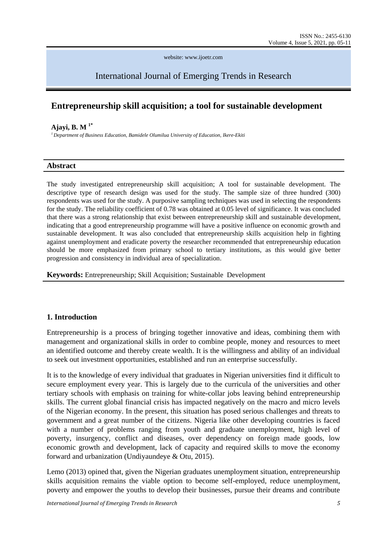website: www.ijoetr.com

# International Journal of Emerging Trends in Research

## **Entrepreneurship skill acquisition; a tool for sustainable development**

#### **Ajayi, B. M 1\***

*<sup>1</sup> Department of Business Education, Bamidele Olumilua University of Education, Ikere-Ekiti*

### **Abstract**

The study investigated entrepreneurship skill acquisition; A tool for sustainable development. The descriptive type of research design was used for the study. The sample size of three hundred (300) respondents was used for the study. A purposive sampling techniques was used in selecting the respondents for the study. The reliability coefficient of 0.78 was obtained at 0.05 level of significance. It was concluded that there was a strong relationship that exist between entrepreneurship skill and sustainable development, indicating that a good entrepreneurship programme will have a positive influence on economic growth and sustainable development. It was also concluded that entrepreneurship skills acquisition help in fighting against unemployment and eradicate poverty the researcher recommended that entrepreneurship education should be more emphasized from primary school to tertiary institutions, as this would give better progression and consistency in individual area of specialization.

**Keywords:** Entrepreneurship; Skill Acquisition; Sustainable Development

## **1. Introduction**

Entrepreneurship is a process of bringing together innovative and ideas, combining them with management and organizational skills in order to combine people, money and resources to meet an identified outcome and thereby create wealth. It is the willingness and ability of an individual to seek out investment opportunities, established and run an enterprise successfully.

It is to the knowledge of every individual that graduates in Nigerian universities find it difficult to secure employment every year. This is largely due to the curricula of the universities and other tertiary schools with emphasis on training for white-collar jobs leaving behind entrepreneurship skills. The current global financial crisis has impacted negatively on the macro and micro levels of the Nigerian economy. In the present, this situation has posed serious challenges and threats to government and a great number of the citizens. Nigeria like other developing countries is faced with a number of problems ranging from youth and graduate unemployment, high level of poverty, insurgency, conflict and diseases, over dependency on foreign made goods, low economic growth and development, lack of capacity and required skills to move the economy forward and urbanization (Undiyaundeye & Otu, 2015).

Lemo (2013) opined that, given the Nigerian graduates unemployment situation, entrepreneurship skills acquisition remains the viable option to become self-employed, reduce unemployment, poverty and empower the youths to develop their businesses, pursue their dreams and contribute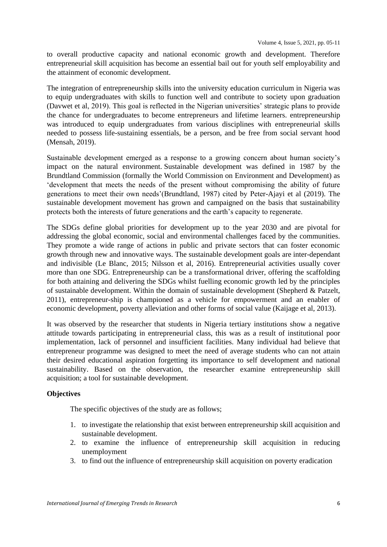to overall productive capacity and national economic growth and development. Therefore entrepreneurial skill acquisition has become an essential bail out for youth self employability and the attainment of economic development.

The integration of entrepreneurship skills into the university education curriculum in Nigeria was to equip undergraduates with skills to function well and contribute to society upon graduation (Davwet et al, 2019). This goal is reflected in the Nigerian universities" strategic plans to provide the chance for undergraduates to become entrepreneurs and lifetime learners. entrepreneurship was introduced to equip undergraduates from various disciplines with entrepreneurial skills needed to possess life-sustaining essentials, be a person, and be free from social servant hood (Mensah, 2019).

Sustainable development emerged as a response to a growing concern about human society"s impact on the natural environment. Sustainable development was defined in 1987 by the Brundtland Commission (formally the World Commission on Environment and Development) as "development that meets the needs of the present without compromising the ability of future generations to meet their own needs"(Brundtland, 1987) cited by Peter-Ajayi et al (2019). The sustainable development movement has grown and campaigned on the basis that sustainability protects both the interests of future generations and the earth"s capacity to regenerate.

The SDGs define global priorities for development up to the year 2030 and are pivotal for addressing the global economic, social and environmental challenges faced by the communities. They promote a wide range of actions in public and private sectors that can foster economic growth through new and innovative ways. The sustainable development goals are inter-dependant and indivisible (Le Blanc, 2015; Nilsson et al, 2016). Entrepreneurial activities usually cover more than one SDG. Entrepreneurship can be a transformational driver, offering the scaffolding for both attaining and delivering the SDGs whilst fuelling economic growth led by the principles of sustainable development. Within the domain of sustainable development (Shepherd & Patzelt, 2011), entrepreneur-ship is championed as a vehicle for empowerment and an enabler of economic development, poverty alleviation and other forms of social value (Kaijage et al, 2013).

It was observed by the researcher that students in Nigeria tertiary institutions show a negative attitude towards participating in entrepreneurial class, this was as a result of institutional poor implementation, lack of personnel and insufficient facilities. Many individual had believe that entrepreneur programme was designed to meet the need of average students who can not attain their desired educational aspiration forgetting its importance to self development and national sustainability. Based on the observation, the researcher examine entrepreneurship skill acquisition; a tool for sustainable development.

### **Objectives**

The specific objectives of the study are as follows;

- 1. to investigate the relationship that exist between entrepreneurship skill acquisition and sustainable development.
- 2. to examine the influence of entrepreneurship skill acquisition in reducing unemployment
- 3. to find out the influence of entrepreneurship skill acquisition on poverty eradication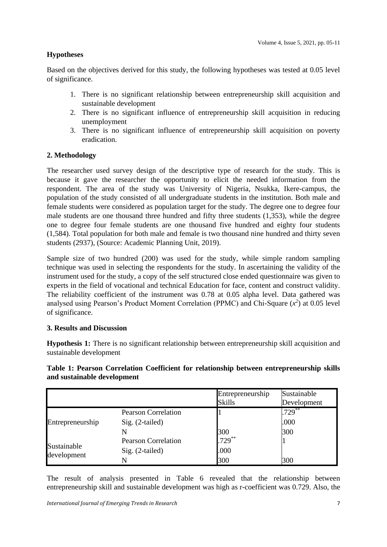## **Hypotheses**

Based on the objectives derived for this study, the following hypotheses was tested at 0.05 level of significance.

- 1. There is no significant relationship between entrepreneurship skill acquisition and sustainable development
- 2. There is no significant influence of entrepreneurship skill acquisition in reducing unemployment
- 3. There is no significant influence of entrepreneurship skill acquisition on poverty eradication.

## **2. Methodology**

The researcher used survey design of the descriptive type of research for the study. This is because it gave the researcher the opportunity to elicit the needed information from the respondent. The area of the study was University of Nigeria, Nsukka, Ikere-campus, the population of the study consisted of all undergraduate students in the institution. Both male and female students were considered as population target for the study. The degree one to degree four male students are one thousand three hundred and fifty three students (1,353), while the degree one to degree four female students are one thousand five hundred and eighty four students (1,584). Total population for both male and female is two thousand nine hundred and thirty seven students (2937), (Source: Academic Planning Unit, 2019).

Sample size of two hundred (200) was used for the study, while simple random sampling technique was used in selecting the respondents for the study. In ascertaining the validity of the instrument used for the study, a copy of the self structured close ended questionnaire was given to experts in the field of vocational and technical Education for face, content and construct validity. The reliability coefficient of the instrument was 0.78 at 0.05 alpha level. Data gathered was analysed using Pearson's Product Moment Correlation (PPMC) and Chi-Square  $(x^2)$  at 0.05 level of significance.

### **3. Results and Discussion**

**Hypothesis 1:** There is no significant relationship between entrepreneurship skill acquisition and sustainable development

## **Table 1: Pearson Correlation Coefficient for relationship between entrepreneurship skills and sustainable development**

|                            |                            | Entrepreneurship<br><b>Skills</b> | Sustainable<br>Development |
|----------------------------|----------------------------|-----------------------------------|----------------------------|
|                            | <b>Pearson Correlation</b> |                                   | $.729***$                  |
| Entrepreneurship           | $Sig. (2-tailed)$          |                                   | .000                       |
|                            |                            | $\frac{300}{729}$                 | 300                        |
| Sustainable<br>development | <b>Pearson Correlation</b> |                                   |                            |
|                            | $Sig. (2-tailed)$          | .000                              |                            |
|                            |                            | 300                               | 300                        |

The result of analysis presented in Table 6 revealed that the relationship between entrepreneurship skill and sustainable development was high as r-coefficient was 0.729. Also, the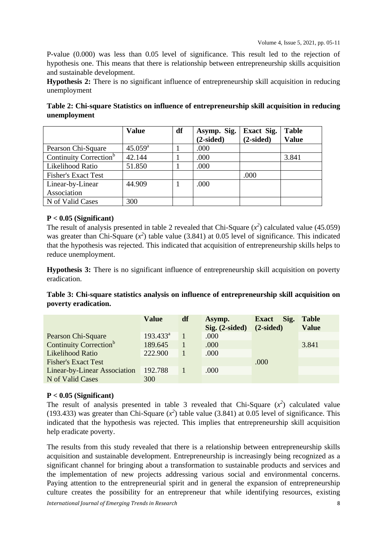P-value (0.000) was less than 0.05 level of significance. This result led to the rejection of hypothesis one. This means that there is relationship between entrepreneurship skills acquisition and sustainable development.

**Hypothesis 2:** There is no significant influence of entrepreneurship skill acquisition in reducing unemployment

| Table 2: Chi-square Statistics on influence of entrepreneurship skill acquisition in reducing |  |  |
|-----------------------------------------------------------------------------------------------|--|--|
| unemployment                                                                                  |  |  |

|                                    | <b>Value</b>     | df | Asymp. Sig. | <b>Exact Sig.</b> | <b>Table</b> |
|------------------------------------|------------------|----|-------------|-------------------|--------------|
|                                    |                  |    | $(2-sided)$ | $(2-sided)$       | <b>Value</b> |
| Pearson Chi-Square                 | $45.059^{\rm a}$ |    | .000        |                   |              |
| Continuity Correction <sup>b</sup> | 42.144           |    | .000        |                   | 3.841        |
| Likelihood Ratio                   | 51.850           |    | .000        |                   |              |
| <b>Fisher's Exact Test</b>         |                  |    |             | .000              |              |
| Linear-by-Linear                   | 44.909           |    | .000        |                   |              |
| Association                        |                  |    |             |                   |              |
| N of Valid Cases                   | 300              |    |             |                   |              |

### **P < 0.05 (Significant)**

The result of analysis presented in table 2 revealed that Chi-Square  $(x^2)$  calculated value (45.059) was greater than Chi-Square  $(x^2)$  table value (3.841) at 0.05 level of significance. This indicated that the hypothesis was rejected. This indicated that acquisition of entrepreneurship skills helps to reduce unemployment.

**Hypothesis 3:** There is no significant influence of entrepreneurship skill acquisition on poverty eradication.

**Table 3: Chi-square statistics analysis on influence of entrepreneurship skill acquisition on poverty eradication.**

|                                    | <b>Value</b> | df | Asymp.<br>$Sig. (2-sided)$ | Sig.<br><b>Exact</b><br>$(2-sided)$ | <b>Table</b><br><b>Value</b> |
|------------------------------------|--------------|----|----------------------------|-------------------------------------|------------------------------|
| Pearson Chi-Square                 | $193.433^a$  |    | .000                       |                                     |                              |
| Continuity Correction <sup>b</sup> | 189.645      |    | .000                       |                                     | 3.841                        |
| Likelihood Ratio                   | 222.900      |    | .000                       |                                     |                              |
| <b>Fisher's Exact Test</b>         |              |    |                            | .000                                |                              |
| Linear-by-Linear Association       | 192.788      |    | .000                       |                                     |                              |
| N of Valid Cases                   | 300          |    |                            |                                     |                              |

### **P < 0.05 (Significant)**

The result of analysis presented in table 3 revealed that Chi-Square  $(x^2)$  calculated value (193.433) was greater than Chi-Square  $(x^2)$  table value (3.841) at 0.05 level of significance. This indicated that the hypothesis was rejected. This implies that entrepreneurship skill acquisition help eradicate poverty.

*International Journal of Emerging Trends in Research* 8 The results from this study revealed that there is a relationship between entrepreneurship skills acquisition and sustainable development. Entrepreneurship is increasingly being recognized as a significant channel for bringing about a transformation to sustainable products and services and the implementation of new projects addressing various social and environmental concerns. Paying attention to the entrepreneurial spirit and in general the expansion of entrepreneurship culture creates the possibility for an entrepreneur that while identifying resources, existing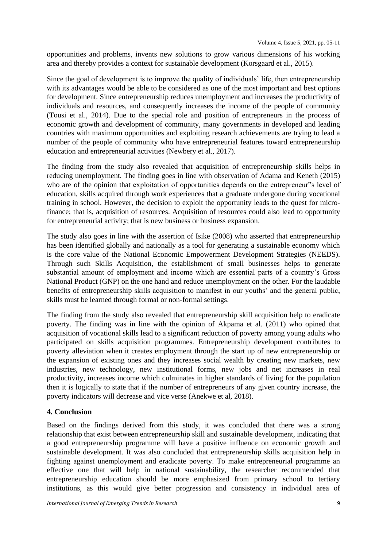opportunities and problems, invents new solutions to grow various dimensions of his working area and thereby provides a context for sustainable development (Korsgaard et al., 2015).

Since the goal of development is to improve the quality of individuals' life, then entrepreneurship with its advantages would be able to be considered as one of the most important and best options for development. Since entrepreneurship reduces unemployment and increases the productivity of individuals and resources, and consequently increases the income of the people of community (Tousi et al., 2014). Due to the special role and position of entrepreneurs in the process of economic growth and development of community, many governments in developed and leading countries with maximum opportunities and exploiting research achievements are trying to lead a number of the people of community who have entrepreneurial features toward entrepreneurship education and entrepreneurial activities (Newbery et al., 2017).

The finding from the study also revealed that acquisition of entrepreneurship skills helps in reducing unemployment. The finding goes in line with observation of Adama and Keneth (2015) who are of the opinion that exploitation of opportunities depends on the entrepreneur"s level of education, skills acquired through work experiences that a graduate undergone during vocational training in school. However, the decision to exploit the opportunity leads to the quest for microfinance; that is, acquisition of resources. Acquisition of resources could also lead to opportunity for entrepreneurial activity; that is new business or business expansion.

The study also goes in line with the assertion of Isike (2008) who asserted that entrepreneurship has been identified globally and nationally as a tool for generating a sustainable economy which is the core value of the National Economic Empowerment Development Strategies (NEEDS). Through such Skills Acquisition, the establishment of small businesses helps to generate substantial amount of employment and income which are essential parts of a country"s Gross National Product (GNP) on the one hand and reduce unemployment on the other. For the laudable benefits of entrepreneurship skills acquisition to manifest in our youths' and the general public, skills must be learned through formal or non-formal settings.

The finding from the study also revealed that entrepreneurship skill acquisition help to eradicate poverty. The finding was in line with the opinion of Akpama et al. (2011) who opined that acquisition of vocational skills lead to a significant reduction of poverty among young adults who participated on skills acquisition programmes. Entrepreneurship development contributes to poverty alleviation when it creates employment through the start up of new entrepreneurship or the expansion of existing ones and they increases social wealth by creating new markets, new industries, new technology, new institutional forms, new jobs and net increases in real productivity, increases income which culminates in higher standards of living for the population then it is logically to state that if the number of entrepreneurs of any given country increase, the poverty indicators will decrease and vice verse (Anekwe et al, 2018).

## **4. Conclusion**

Based on the findings derived from this study, it was concluded that there was a strong relationship that exist between entrepreneurship skill and sustainable development, indicating that a good entrepreneurship programme will have a positive influence on economic growth and sustainable development. It was also concluded that entrepreneurship skills acquisition help in fighting against unemployment and eradicate poverty. To make entrepreneurial programme an effective one that will help in national sustainability, the researcher recommended that entrepreneurship education should be more emphasized from primary school to tertiary institutions, as this would give better progression and consistency in individual area of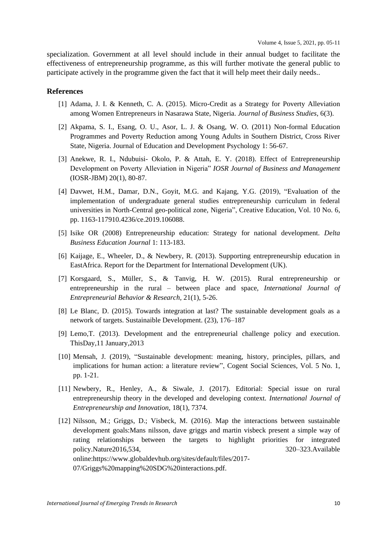specialization. Government at all level should include in their annual budget to facilitate the effectiveness of entrepreneurship programme, as this will further motivate the general public to participate actively in the programme given the fact that it will help meet their daily needs..

#### **References**

- [1] Adama, J. I. & Kenneth, C. A. (2015). Micro-Credit as a Strategy for Poverty Alleviation among Women Entrepreneurs in Nasarawa State, Nigeria. *Journal of Business Studies*, 6(3).
- [2] Akpama, S. I., Esang, O. U., Asor, L. J. & Osang, W. O. (2011) Non-formal Education Programmes and Poverty Reduction among Young Adults in Southern District, Cross River State, Nigeria. Journal of Education and Development Psychology 1: 56-67.
- [3] Anekwe, R. I., Ndubuisi- Okolo, P. & Attah, E. Y. (2018). Effect of Entrepreneurship Development on Poverty Alleviation in Nigeria" *IOSR Journal of Business and Management*  (IOSR-JBM) 20(1), 80-87.
- [4] Davwet, H.M., Damar, D.N., Goyit, M.G. and Kajang, Y.G. (2019), "Evaluation of the implementation of undergraduate general studies entrepreneurship curriculum in federal universities in North-Central geo-political zone, Nigeria", Creative Education, Vol. 10 No. 6, pp. 1163-117910.4236/ce.2019.106088.
- [5] Isike OR (2008) Entrepreneurship education: Strategy for national development. *Delta Business Education Journal* 1: 113-183.
- [6] Kaijage, E., Wheeler, D., & Newbery, R. (2013). Supporting entrepreneurship education in EastAfrica. Report for the Department for International Development (UK).
- [7] Korsgaard, S., Müller, S., & Tanvig, H. W. (2015). Rural entrepreneurship or entrepreneurship in the rural – between place and space, *International Journal of Entrepreneurial Behavior & Research,* 21(1), 5-26.
- [8] Le Blanc, D. (2015). Towards integration at last? The sustainable development goals as a network of targets. Sustainaible Development. (23), 176–187
- [9] Lemo,T. (2013). Development and the entrepreneurial challenge policy and execution. ThisDay,11 January,2013
- [10] Mensah, J. (2019), "Sustainable development: meaning, history, principles, pillars, and implications for human action: a literature review", Cogent Social Sciences, Vol. 5 No. 1, pp. 1-21.
- [11] Newbery, R., Henley, A., & Siwale, J. (2017). Editorial: Special issue on rural entrepreneurship theory in the developed and developing context. *International Journal of Entrepreneurship and Innovation,* 18(1), 7374.
- [12] Nilsson, M.; Griggs, D.; Visbeck, M. (2016). Map the interactions between sustainable development goals:Mans nilsson, dave griggs and martin visbeck present a simple way of rating relationships between the targets to highlight priorities for integrated policy.Nature2016,534, 320–323.Available online:https://www.globaldevhub.org/sites/default/files/2017- 07/Griggs%20mapping%20SDG%20interactions.pdf.